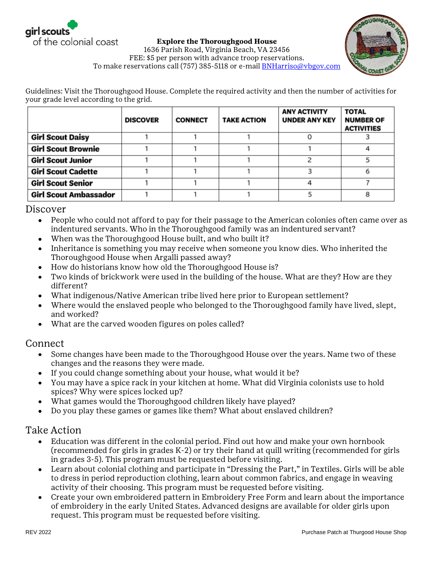

**Explore the Thoroughgood House** 1636 Parish Road, Virginia Beach, VA 23456 FEE: \$5 per person with advance troop reservations. To make reservations call (757) 385-5118 or e-mail **BNHarriso@vbgov.com** 

Guidelines: Visit the Thoroughgood House. Complete the required activity and then the number of activities for your grade level according to the grid.

|                              | <b>DISCOVER</b> | <b>CONNECT</b> | <b>TAKE ACTION</b> | <b>ANY ACTIVITY</b><br><b>UNDER ANY KEY</b> | <b>TOTAL</b><br><b>NUMBER OF</b><br><b>ACTIVITIES</b> |
|------------------------------|-----------------|----------------|--------------------|---------------------------------------------|-------------------------------------------------------|
| <b>Girl Scout Daisy</b>      |                 |                |                    |                                             |                                                       |
| <b>Girl Scout Brownie</b>    |                 |                |                    |                                             |                                                       |
| <b>Girl Scout Junior</b>     |                 |                |                    |                                             |                                                       |
| <b>Girl Scout Cadette</b>    |                 |                |                    |                                             |                                                       |
| <b>Girl Scout Senior</b>     |                 |                |                    |                                             |                                                       |
| <b>Girl Scout Ambassador</b> |                 |                |                    |                                             |                                                       |

Discover

- People who could not afford to pay for their passage to the American colonies often came over as indentured servants. Who in the Thoroughgood family was an indentured servant?
- When was the Thoroughgood House built, and who built it?
- Inheritance is something you may receive when someone you know dies. Who inherited the Thoroughgood House when Argalli passed away?
- How do historians know how old the Thoroughgood House is?
- Two kinds of brickwork were used in the building of the house. What are they? How are they different?
- What indigenous/Native American tribe lived here prior to European settlement?
- Where would the enslaved people who belonged to the Thoroughgood family have lived, slept, and worked?
- What are the carved wooden figures on poles called?

## Connect

- $\bullet$ Some changes have been made to the Thoroughgood House over the years. Name two of these changes and the reasons they were made.
- If you could change something about your house, what would it be?
- You may have a spice rack in your kitchen at home. What did Virginia colonists use to hold spices? Why were spices locked up?
- What games would the Thoroughgood children likely have played?
- Do you play these games or games like them? What about enslaved children?

## Take Action

- Education was different in the colonial period. Find out how and make your own hornbook  $\bullet$ (recommended for girls in grades K-2) or try their hand at quill writing (recommended for girls in grades 3-5). This program must be requested before visiting.
- Learn about colonial clothing and participate in "Dressing the Part," in Textiles. Girls will be able to dress in period reproduction clothing, learn about common fabrics, and engage in weaving activity of their choosing. This program must be requested before visiting.
- Create your own embroidered pattern in Embroidery Free Form and learn about the importance  $\bullet$ of embroidery in the early United States. Advanced designs are available for older girls upon request. This program must be requested before visiting.